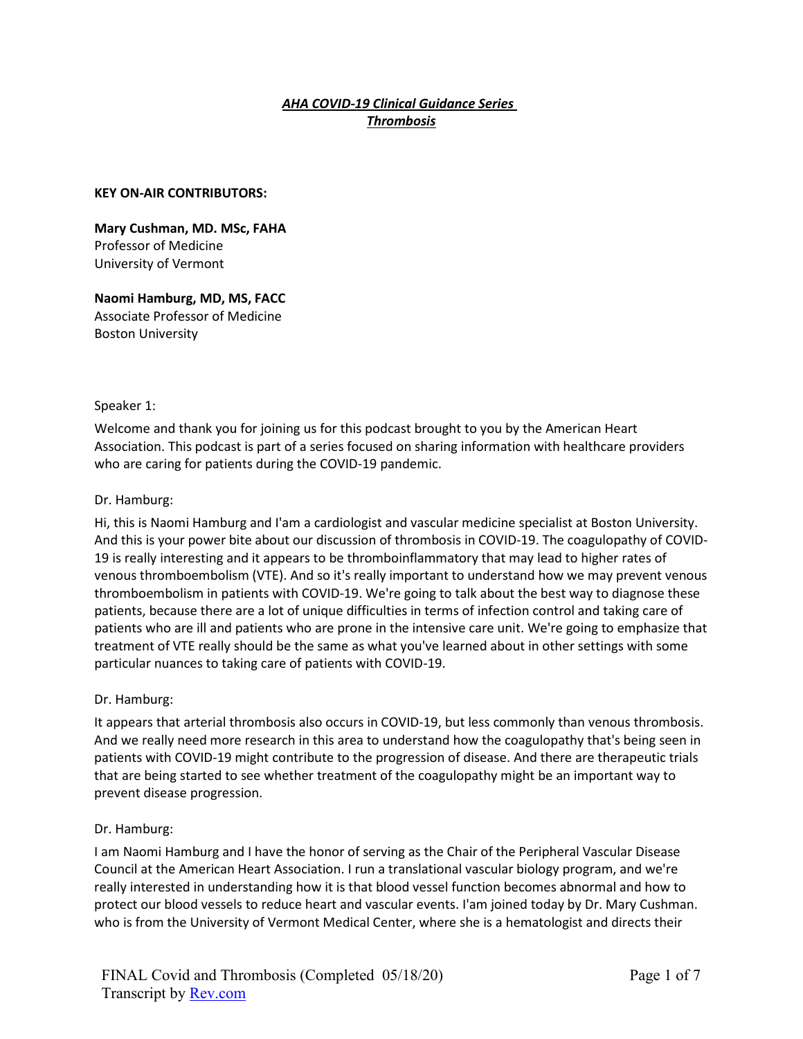## *AHA COVID-19 Clinical Guidance Series Thrombosis*

#### **KEY ON-AIR CONTRIBUTORS:**

**Mary Cushman, MD. MSc, FAHA** Professor of Medicine University of Vermont

**Naomi Hamburg, MD, MS, FACC** Associate Professor of Medicine Boston University

#### Speaker 1:

Welcome and thank you for joining us for this podcast brought to you by the American Heart Association. This podcast is part of a series focused on sharing information with healthcare providers who are caring for patients during the COVID-19 pandemic.

#### Dr. Hamburg:

Hi, this is Naomi Hamburg and I'am a cardiologist and vascular medicine specialist at Boston University. And this is your power bite about our discussion of thrombosis in COVID-19. The coagulopathy of COVID-19 is really interesting and it appears to be thromboinflammatory that may lead to higher rates of venous thromboembolism (VTE). And so it's really important to understand how we may prevent venous thromboembolism in patients with COVID-19. We're going to talk about the best way to diagnose these patients, because there are a lot of unique difficulties in terms of infection control and taking care of patients who are ill and patients who are prone in the intensive care unit. We're going to emphasize that treatment of VTE really should be the same as what you've learned about in other settings with some particular nuances to taking care of patients with COVID-19.

### Dr. Hamburg:

It appears that arterial thrombosis also occurs in COVID-19, but less commonly than venous thrombosis. And we really need more research in this area to understand how the coagulopathy that's being seen in patients with COVID-19 might contribute to the progression of disease. And there are therapeutic trials that are being started to see whether treatment of the coagulopathy might be an important way to prevent disease progression.

### Dr. Hamburg:

I am Naomi Hamburg and I have the honor of serving as the Chair of the Peripheral Vascular Disease Council at the American Heart Association. I run a translational vascular biology program, and we're really interested in understanding how it is that blood vessel function becomes abnormal and how to protect our blood vessels to reduce heart and vascular events. I'am joined today by Dr. Mary Cushman. who is from the University of Vermont Medical Center, where she is a hematologist and directs their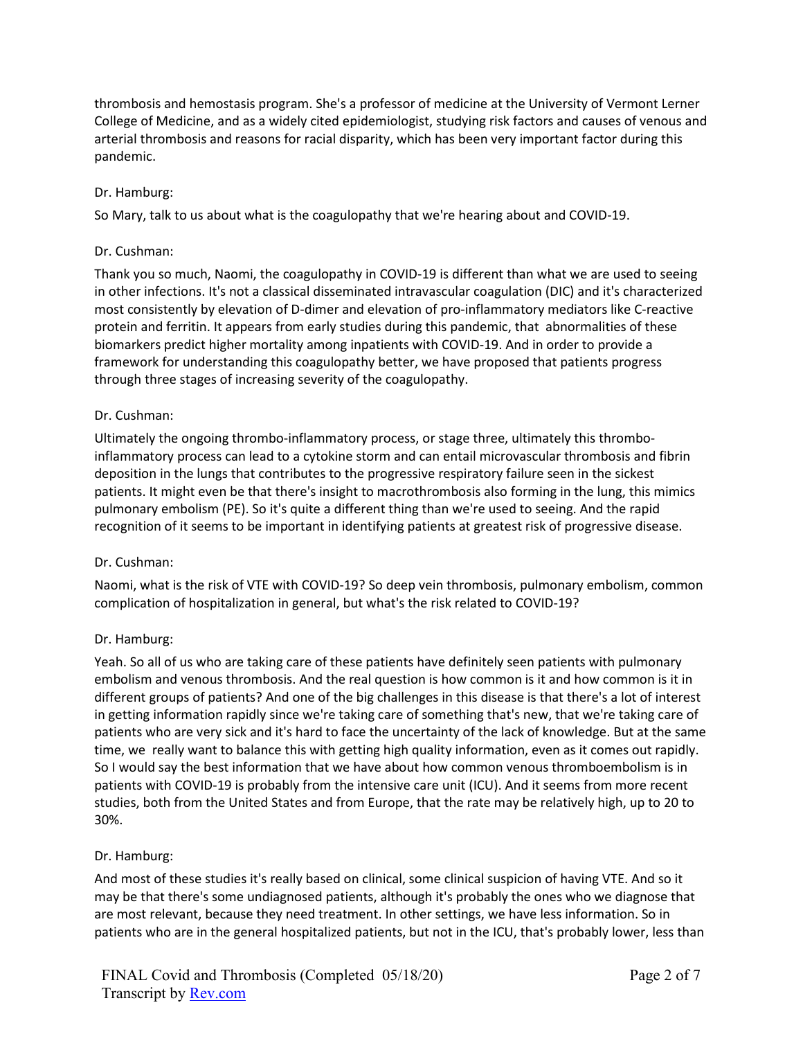thrombosis and hemostasis program. She's a professor of medicine at the University of Vermont Lerner College of Medicine, and as a widely cited epidemiologist, studying risk factors and causes of venous and arterial thrombosis and reasons for racial disparity, which has been very important factor during this pandemic.

# Dr. Hamburg:

So Mary, talk to us about what is the coagulopathy that we're hearing about and COVID-19.

### Dr. Cushman:

Thank you so much, Naomi, the coagulopathy in COVID-19 is different than what we are used to seeing in other infections. It's not a classical disseminated intravascular coagulation (DIC) and it's characterized most consistently by elevation of D-dimer and elevation of pro-inflammatory mediators like C-reactive protein and ferritin. It appears from early studies during this pandemic, that abnormalities of these biomarkers predict higher mortality among inpatients with COVID-19. And in order to provide a framework for understanding this coagulopathy better, we have proposed that patients progress through three stages of increasing severity of the coagulopathy.

## Dr. Cushman:

Ultimately the ongoing thrombo-inflammatory process, or stage three, ultimately this thromboinflammatory process can lead to a cytokine storm and can entail microvascular thrombosis and fibrin deposition in the lungs that contributes to the progressive respiratory failure seen in the sickest patients. It might even be that there's insight to macrothrombosis also forming in the lung, this mimics pulmonary embolism (PE). So it's quite a different thing than we're used to seeing. And the rapid recognition of it seems to be important in identifying patients at greatest risk of progressive disease.

### Dr. Cushman:

Naomi, what is the risk of VTE with COVID-19? So deep vein thrombosis, pulmonary embolism, common complication of hospitalization in general, but what's the risk related to COVID-19?

### Dr. Hamburg:

Yeah. So all of us who are taking care of these patients have definitely seen patients with pulmonary embolism and venous thrombosis. And the real question is how common is it and how common is it in different groups of patients? And one of the big challenges in this disease is that there's a lot of interest in getting information rapidly since we're taking care of something that's new, that we're taking care of patients who are very sick and it's hard to face the uncertainty of the lack of knowledge. But at the same time, we really want to balance this with getting high quality information, even as it comes out rapidly. So I would say the best information that we have about how common venous thromboembolism is in patients with COVID-19 is probably from the intensive care unit (ICU). And it seems from more recent studies, both from the United States and from Europe, that the rate may be relatively high, up to 20 to 30%.

### Dr. Hamburg:

And most of these studies it's really based on clinical, some clinical suspicion of having VTE. And so it may be that there's some undiagnosed patients, although it's probably the ones who we diagnose that are most relevant, because they need treatment. In other settings, we have less information. So in patients who are in the general hospitalized patients, but not in the ICU, that's probably lower, less than

FINAL Covid and Thrombosis (Completed 05/18/20) Transcript by **Rev.com**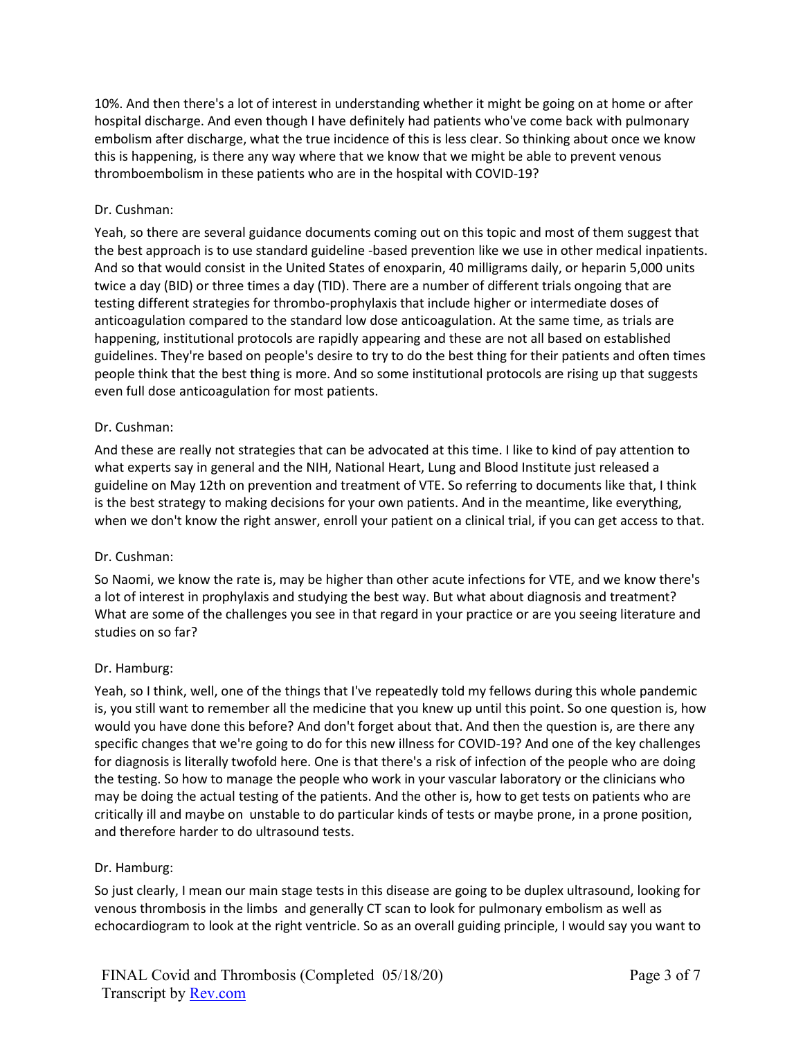10%. And then there's a lot of interest in understanding whether it might be going on at home or after hospital discharge. And even though I have definitely had patients who've come back with pulmonary embolism after discharge, what the true incidence of this is less clear. So thinking about once we know this is happening, is there any way where that we know that we might be able to prevent venous thromboembolism in these patients who are in the hospital with COVID-19?

## Dr. Cushman:

Yeah, so there are several guidance documents coming out on this topic and most of them suggest that the best approach is to use standard guideline -based prevention like we use in other medical inpatients. And so that would consist in the United States of enoxparin, 40 milligrams daily, or heparin 5,000 units twice a day (BID) or three times a day (TID). There are a number of different trials ongoing that are testing different strategies for thrombo-prophylaxis that include higher or intermediate doses of anticoagulation compared to the standard low dose anticoagulation. At the same time, as trials are happening, institutional protocols are rapidly appearing and these are not all based on established guidelines. They're based on people's desire to try to do the best thing for their patients and often times people think that the best thing is more. And so some institutional protocols are rising up that suggests even full dose anticoagulation for most patients.

### Dr. Cushman:

And these are really not strategies that can be advocated at this time. I like to kind of pay attention to what experts say in general and the NIH, National Heart, Lung and Blood Institute just released a guideline on May 12th on prevention and treatment of VTE. So referring to documents like that, I think is the best strategy to making decisions for your own patients. And in the meantime, like everything, when we don't know the right answer, enroll your patient on a clinical trial, if you can get access to that.

### Dr. Cushman:

So Naomi, we know the rate is, may be higher than other acute infections for VTE, and we know there's a lot of interest in prophylaxis and studying the best way. But what about diagnosis and treatment? What are some of the challenges you see in that regard in your practice or are you seeing literature and studies on so far?

# Dr. Hamburg:

Yeah, so I think, well, one of the things that I've repeatedly told my fellows during this whole pandemic is, you still want to remember all the medicine that you knew up until this point. So one question is, how would you have done this before? And don't forget about that. And then the question is, are there any specific changes that we're going to do for this new illness for COVID-19? And one of the key challenges for diagnosis is literally twofold here. One is that there's a risk of infection of the people who are doing the testing. So how to manage the people who work in your vascular laboratory or the clinicians who may be doing the actual testing of the patients. And the other is, how to get tests on patients who are critically ill and maybe on unstable to do particular kinds of tests or maybe prone, in a prone position, and therefore harder to do ultrasound tests.

### Dr. Hamburg:

So just clearly, I mean our main stage tests in this disease are going to be duplex ultrasound, looking for venous thrombosis in the limbs and generally CT scan to look for pulmonary embolism as well as echocardiogram to look at the right ventricle. So as an overall guiding principle, I would say you want to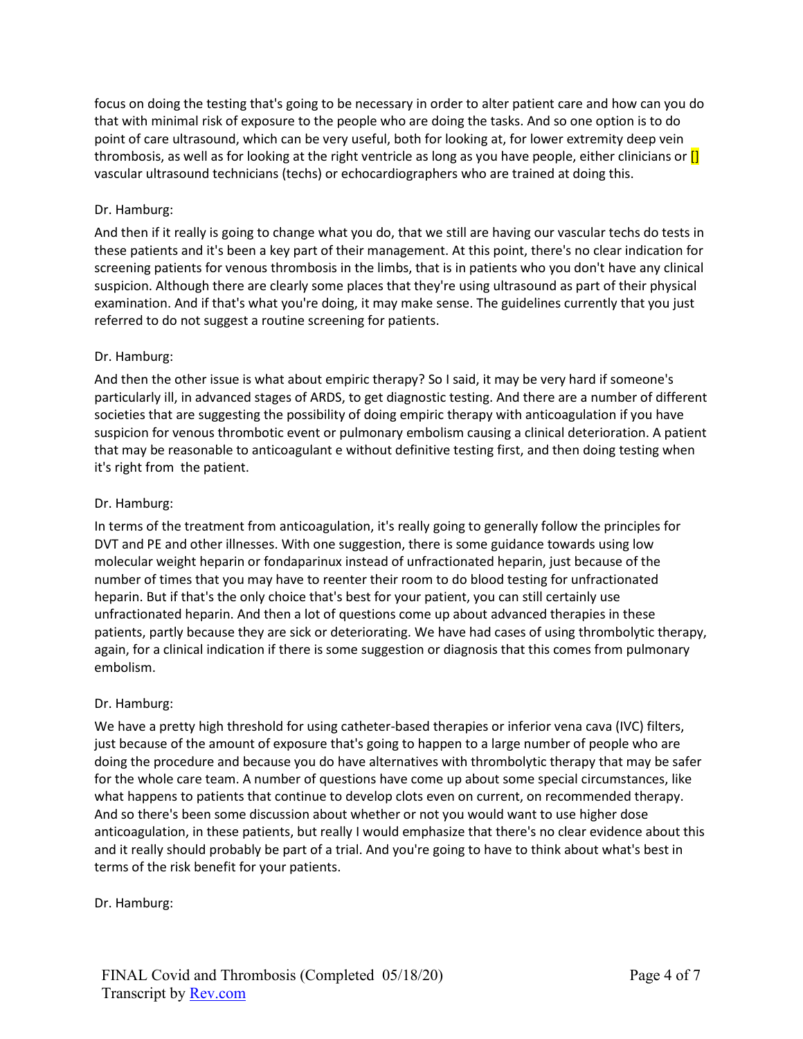focus on doing the testing that's going to be necessary in order to alter patient care and how can you do that with minimal risk of exposure to the people who are doing the tasks. And so one option is to do point of care ultrasound, which can be very useful, both for looking at, for lower extremity deep vein thrombosis, as well as for looking at the right ventricle as long as you have people, either clinicians or **[]** vascular ultrasound technicians (techs) or echocardiographers who are trained at doing this.

# Dr. Hamburg:

And then if it really is going to change what you do, that we still are having our vascular techs do tests in these patients and it's been a key part of their management. At this point, there's no clear indication for screening patients for venous thrombosis in the limbs, that is in patients who you don't have any clinical suspicion. Although there are clearly some places that they're using ultrasound as part of their physical examination. And if that's what you're doing, it may make sense. The guidelines currently that you just referred to do not suggest a routine screening for patients.

## Dr. Hamburg:

And then the other issue is what about empiric therapy? So I said, it may be very hard if someone's particularly ill, in advanced stages of ARDS, to get diagnostic testing. And there are a number of different societies that are suggesting the possibility of doing empiric therapy with anticoagulation if you have suspicion for venous thrombotic event or pulmonary embolism causing a clinical deterioration. A patient that may be reasonable to anticoagulant e without definitive testing first, and then doing testing when it's right from the patient.

## Dr. Hamburg:

In terms of the treatment from anticoagulation, it's really going to generally follow the principles for DVT and PE and other illnesses. With one suggestion, there is some guidance towards using low molecular weight heparin or fondaparinux instead of unfractionated heparin, just because of the number of times that you may have to reenter their room to do blood testing for unfractionated heparin. But if that's the only choice that's best for your patient, you can still certainly use unfractionated heparin. And then a lot of questions come up about advanced therapies in these patients, partly because they are sick or deteriorating. We have had cases of using thrombolytic therapy, again, for a clinical indication if there is some suggestion or diagnosis that this comes from pulmonary embolism.

### Dr. Hamburg:

We have a pretty high threshold for using catheter-based therapies or inferior vena cava (IVC) filters, just because of the amount of exposure that's going to happen to a large number of people who are doing the procedure and because you do have alternatives with thrombolytic therapy that may be safer for the whole care team. A number of questions have come up about some special circumstances, like what happens to patients that continue to develop clots even on current, on recommended therapy. And so there's been some discussion about whether or not you would want to use higher dose anticoagulation, in these patients, but really I would emphasize that there's no clear evidence about this and it really should probably be part of a trial. And you're going to have to think about what's best in terms of the risk benefit for your patients.

Dr. Hamburg: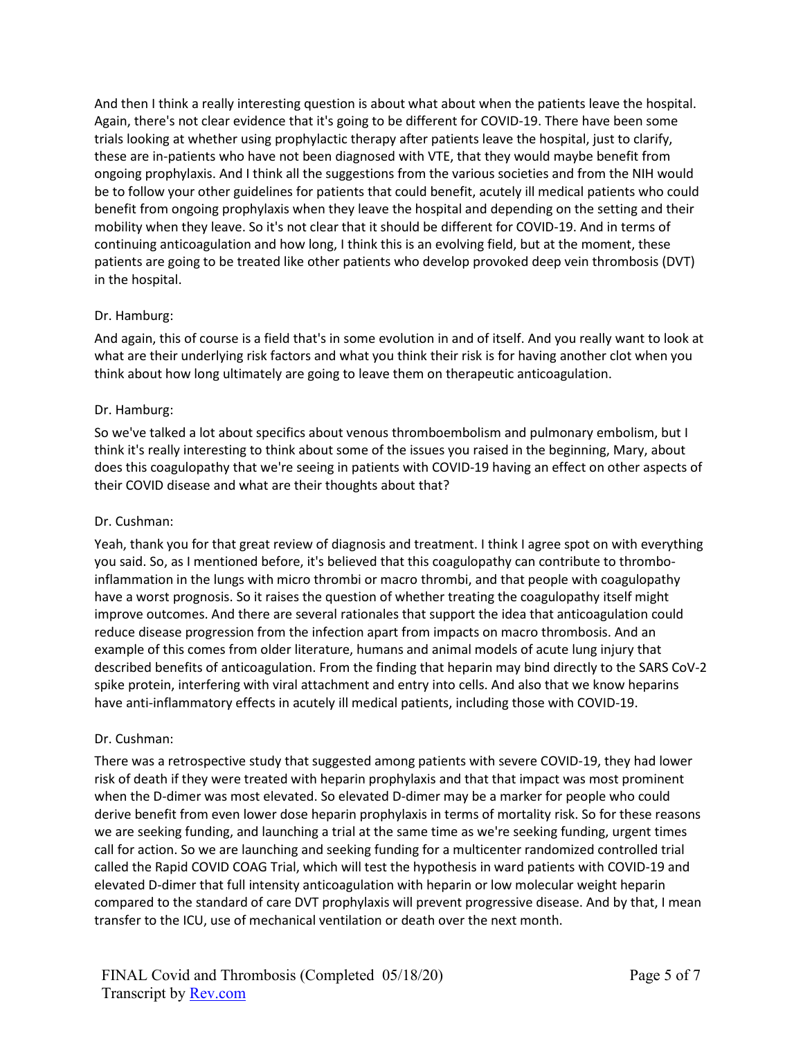And then I think a really interesting question is about what about when the patients leave the hospital. Again, there's not clear evidence that it's going to be different for COVID-19. There have been some trials looking at whether using prophylactic therapy after patients leave the hospital, just to clarify, these are in-patients who have not been diagnosed with VTE, that they would maybe benefit from ongoing prophylaxis. And I think all the suggestions from the various societies and from the NIH would be to follow your other guidelines for patients that could benefit, acutely ill medical patients who could benefit from ongoing prophylaxis when they leave the hospital and depending on the setting and their mobility when they leave. So it's not clear that it should be different for COVID-19. And in terms of continuing anticoagulation and how long, I think this is an evolving field, but at the moment, these patients are going to be treated like other patients who develop provoked deep vein thrombosis (DVT) in the hospital.

### Dr. Hamburg:

And again, this of course is a field that's in some evolution in and of itself. And you really want to look at what are their underlying risk factors and what you think their risk is for having another clot when you think about how long ultimately are going to leave them on therapeutic anticoagulation.

#### Dr. Hamburg:

So we've talked a lot about specifics about venous thromboembolism and pulmonary embolism, but I think it's really interesting to think about some of the issues you raised in the beginning, Mary, about does this coagulopathy that we're seeing in patients with COVID-19 having an effect on other aspects of their COVID disease and what are their thoughts about that?

#### Dr. Cushman:

Yeah, thank you for that great review of diagnosis and treatment. I think I agree spot on with everything you said. So, as I mentioned before, it's believed that this coagulopathy can contribute to thromboinflammation in the lungs with micro thrombi or macro thrombi, and that people with coagulopathy have a worst prognosis. So it raises the question of whether treating the coagulopathy itself might improve outcomes. And there are several rationales that support the idea that anticoagulation could reduce disease progression from the infection apart from impacts on macro thrombosis. And an example of this comes from older literature, humans and animal models of acute lung injury that described benefits of anticoagulation. From the finding that heparin may bind directly to the SARS CoV-2 spike protein, interfering with viral attachment and entry into cells. And also that we know heparins have anti-inflammatory effects in acutely ill medical patients, including those with COVID-19.

### Dr. Cushman:

There was a retrospective study that suggested among patients with severe COVID-19, they had lower risk of death if they were treated with heparin prophylaxis and that that impact was most prominent when the D-dimer was most elevated. So elevated D-dimer may be a marker for people who could derive benefit from even lower dose heparin prophylaxis in terms of mortality risk. So for these reasons we are seeking funding, and launching a trial at the same time as we're seeking funding, urgent times call for action. So we are launching and seeking funding for a multicenter randomized controlled trial called the Rapid COVID COAG Trial, which will test the hypothesis in ward patients with COVID-19 and elevated D-dimer that full intensity anticoagulation with heparin or low molecular weight heparin compared to the standard of care DVT prophylaxis will prevent progressive disease. And by that, I mean transfer to the ICU, use of mechanical ventilation or death over the next month.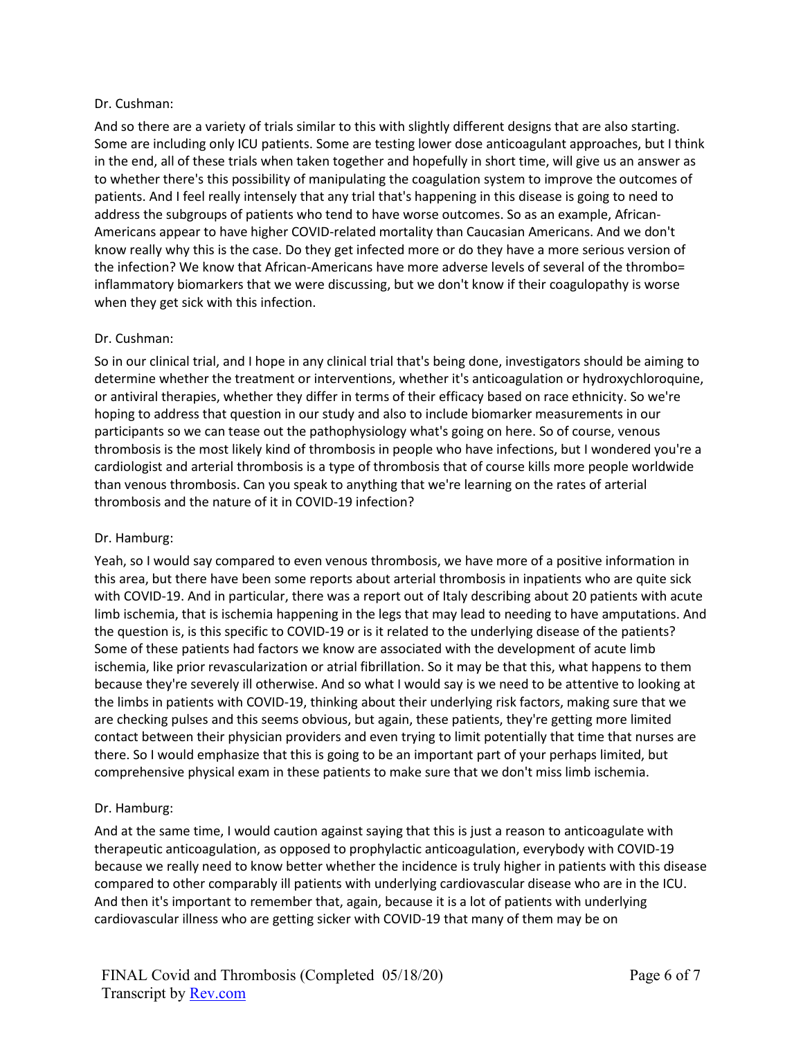### Dr. Cushman:

And so there are a variety of trials similar to this with slightly different designs that are also starting. Some are including only ICU patients. Some are testing lower dose anticoagulant approaches, but I think in the end, all of these trials when taken together and hopefully in short time, will give us an answer as to whether there's this possibility of manipulating the coagulation system to improve the outcomes of patients. And I feel really intensely that any trial that's happening in this disease is going to need to address the subgroups of patients who tend to have worse outcomes. So as an example, African-Americans appear to have higher COVID-related mortality than Caucasian Americans. And we don't know really why this is the case. Do they get infected more or do they have a more serious version of the infection? We know that African-Americans have more adverse levels of several of the thrombo= inflammatory biomarkers that we were discussing, but we don't know if their coagulopathy is worse when they get sick with this infection.

### Dr. Cushman:

So in our clinical trial, and I hope in any clinical trial that's being done, investigators should be aiming to determine whether the treatment or interventions, whether it's anticoagulation or hydroxychloroquine, or antiviral therapies, whether they differ in terms of their efficacy based on race ethnicity. So we're hoping to address that question in our study and also to include biomarker measurements in our participants so we can tease out the pathophysiology what's going on here. So of course, venous thrombosis is the most likely kind of thrombosis in people who have infections, but I wondered you're a cardiologist and arterial thrombosis is a type of thrombosis that of course kills more people worldwide than venous thrombosis. Can you speak to anything that we're learning on the rates of arterial thrombosis and the nature of it in COVID-19 infection?

### Dr. Hamburg:

Yeah, so I would say compared to even venous thrombosis, we have more of a positive information in this area, but there have been some reports about arterial thrombosis in inpatients who are quite sick with COVID-19. And in particular, there was a report out of Italy describing about 20 patients with acute limb ischemia, that is ischemia happening in the legs that may lead to needing to have amputations. And the question is, is this specific to COVID-19 or is it related to the underlying disease of the patients? Some of these patients had factors we know are associated with the development of acute limb ischemia, like prior revascularization or atrial fibrillation. So it may be that this, what happens to them because they're severely ill otherwise. And so what I would say is we need to be attentive to looking at the limbs in patients with COVID-19, thinking about their underlying risk factors, making sure that we are checking pulses and this seems obvious, but again, these patients, they're getting more limited contact between their physician providers and even trying to limit potentially that time that nurses are there. So I would emphasize that this is going to be an important part of your perhaps limited, but comprehensive physical exam in these patients to make sure that we don't miss limb ischemia.

### Dr. Hamburg:

And at the same time, I would caution against saying that this is just a reason to anticoagulate with therapeutic anticoagulation, as opposed to prophylactic anticoagulation, everybody with COVID-19 because we really need to know better whether the incidence is truly higher in patients with this disease compared to other comparably ill patients with underlying cardiovascular disease who are in the ICU. And then it's important to remember that, again, because it is a lot of patients with underlying cardiovascular illness who are getting sicker with COVID-19 that many of them may be on